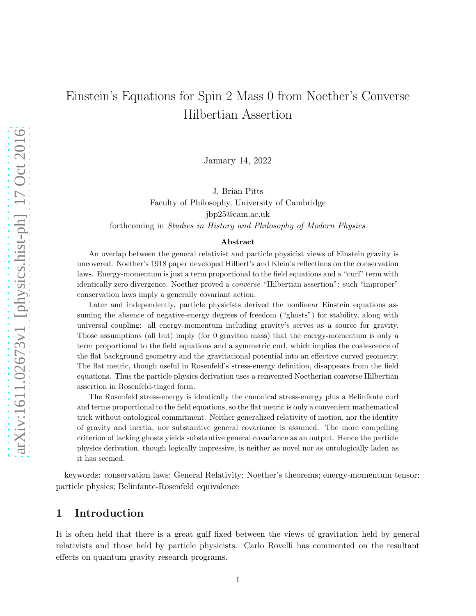# Einstein's Equations for Spin 2 Mass 0 from Noether's Converse Hilbertian Assertion

January 14, 2022

J. Brian Pitts

Faculty of Philosophy, University of Cambridge

jbp25@cam.ac.uk

forthcoming in Studies in History and Philosophy of Modern Physics

#### Abstract

An overlap between the general relativist and particle physicist views of Einstein gravity is uncovered. Noether's 1918 paper developed Hilbert's and Klein's reflections on the conservation laws. Energy-momentum is just a term proportional to the field equations and a "curl" term with identically zero divergence. Noether proved a converse "Hilbertian assertion": such "improper" conservation laws imply a generally covariant action.

Later and independently, particle physicists derived the nonlinear Einstein equations assuming the absence of negative-energy degrees of freedom ("ghosts") for stability, along with universal coupling: all energy-momentum including gravity's serves as a source for gravity. Those assumptions (all but) imply (for 0 graviton mass) that the energy-momentum is only a term proportional to the field equations and a symmetric curl, which implies the coalescence of the flat background geometry and the gravitational potential into an effective curved geometry. The flat metric, though useful in Rosenfeld's stress-energy definition, disappears from the field equations. Thus the particle physics derivation uses a reinvented Noetherian converse Hilbertian assertion in Rosenfeld-tinged form.

The Rosenfeld stress-energy is identically the canonical stress-energy plus a Belinfante curl and terms proportional to the field equations, so the flat metric is only a convenient mathematical trick without ontological commitment. Neither generalized relativity of motion, nor the identity of gravity and inertia, nor substantive general covariance is assumed. The more compelling criterion of lacking ghosts yields substantive general covariance as an output. Hence the particle physics derivation, though logically impressive, is neither as novel nor as ontologically laden as it has seemed.

keywords: conservation laws; General Relativity; Noether's theorems; energy-momentum tensor; particle physics; Belinfante-Rosenfeld equivalence

### 1 Introduction

It is often held that there is a great gulf fixed between the views of gravitation held by general relativists and those held by particle physicists. Carlo Rovelli has commented on the resultant effects on quantum gravity research programs.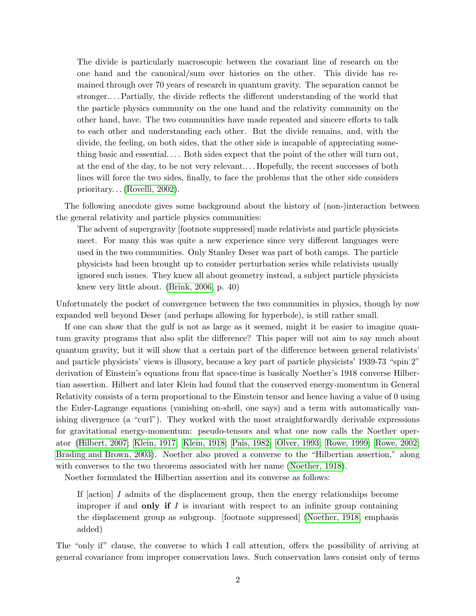The divide is particularly macroscopic between the covariant line of research on the one hand and the canonical/sum over histories on the other. This divide has remained through over 70 years of research in quantum gravity. The separation cannot be stronger.. . . Partially, the divide reflects the different understanding of the world that the particle physics community on the one hand and the relativity community on the other hand, have. The two communities have made repeated and sincere efforts to talk to each other and understanding each other. But the divide remains, and, with the divide, the feeling, on both sides, that the other side is incapable of appreciating something basic and essential. . . . Both sides expect that the point of the other will turn out, at the end of the day, to be not very relevant.. . . Hopefully, the recent successes of both lines will force the two sides, finally, to face the problems that the other side considers prioritary. . . [\(Rovelli, 2002\)](#page-22-0).

The following anecdote gives some background about the history of (non-)interaction between the general relativity and particle physics communities:

The advent of supergravity [footnote suppressed] made relativists and particle physicists meet. For many this was quite a new experience since very different languages were used in the two communities. Only Stanley Deser was part of both camps. The particle physicists had been brought up to consider perturbation series while relativists usually ignored such issues. They knew all about geometry instead, a subject particle physicists knew very little about. [\(Brink, 2006,](#page-16-0) p. 40)

Unfortunately the pocket of convergence between the two communities in physics, though by now expanded well beyond Deser (and perhaps allowing for hyperbole), is still rather small.

If one can show that the gulf is not as large as it seemed, might it be easier to imagine quantum gravity programs that also split the difference? This paper will not aim to say much about quantum gravity, but it will show that a certain part of the difference between general relativists' and particle physicists' views is illusory, because a key part of particle physicists' 1939-73 "spin 2" derivation of Einstein's equations from flat space-time is basically Noether's 1918 converse Hilbertian assertion. Hilbert and later Klein had found that the conserved energy-momentum in General Relativity consists of a term proportional to the Einstein tensor and hence having a value of 0 using the Euler-Lagrange equations (vanishing on-shell, one says) and a term with automatically vanishing divergence (a "curl"). They worked with the most straightforwardly derivable expressions for gravitational energy-momentum: pseudo-tensors and what one now calls the Noether operator [\(Hilbert, 2007;](#page-18-0) [Klein, 1917;](#page-19-0) [Klein, 1918;](#page-19-1) [Pais, 1982;](#page-20-0) [Olver, 1993;](#page-20-1) [Rowe, 1999;](#page-22-1) [Rowe, 2002;](#page-22-2) [Brading and Brown, 2003\)](#page-15-0). Noether also proved a converse to the "Hilbertian assertion," along with converses to the two theorems associated with her name [\(Noether, 1918\)](#page-19-2).

Noether formulated the Hilbertian assertion and its converse as follows:

If  $\lvert$  action  $\lvert$  I admits of the displacement group, then the energy relationships become improper if and only if  $I$  is invariant with respect to an infinite group containing the displacement group as subgroup. [footnote suppressed] [\(Noether, 1918,](#page-19-2) emphasis added)

The "only if" clause, the converse to which I call attention, offers the possibility of arriving at general covariance from improper conservation laws. Such conservation laws consist only of terms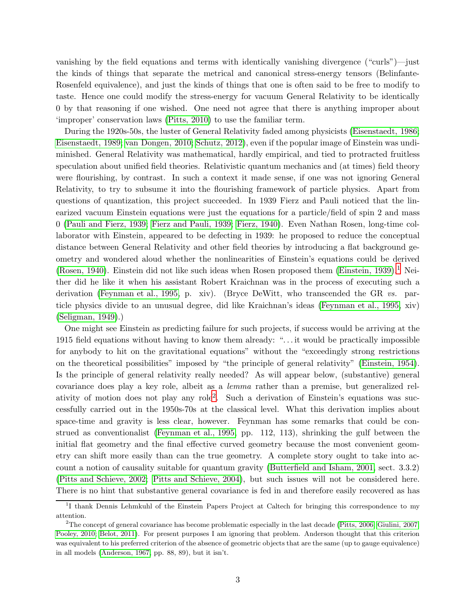vanishing by the field equations and terms with identically vanishing divergence ("curls")—just the kinds of things that separate the metrical and canonical stress-energy tensors (Belinfante-Rosenfeld equivalence), and just the kinds of things that one is often said to be free to modify to taste. Hence one could modify the stress-energy for vacuum General Relativity to be identically 0 by that reasoning if one wished. One need not agree that there is anything improper about 'improper' conservation laws [\(Pitts, 2010\)](#page-21-0) to use the familiar term.

During the 1920s-50s, the luster of General Relativity faded among physicists [\(Eisenstaedt, 1986;](#page-17-0) [Eisenstaedt, 1989;](#page-17-1) [van Dongen, 2010;](#page-22-3) [Schutz, 2012\)](#page-22-4), even if the popular image of Einstein was undiminished. General Relativity was mathematical, hardly empirical, and tied to protracted fruitless speculation about unified field theories. Relativistic quantum mechanics and (at times) field theory were flourishing, by contrast. In such a context it made sense, if one was not ignoring General Relativity, to try to subsume it into the flourishing framework of particle physics. Apart from questions of quantization, this project succeeded. In 1939 Fierz and Pauli noticed that the linearized vacuum Einstein equations were just the equations for a particle/field of spin 2 and mass 0 [\(Pauli and Fierz, 1939;](#page-20-2) [Fierz and Pauli, 1939;](#page-17-2) [Fierz, 1940\)](#page-17-3). Even Nathan Rosen, long-time collaborator with Einstein, appeared to be defecting in 1939: he proposed to reduce the conceptual distance between General Relativity and other field theories by introducing a flat background geometry and wondered aloud whether the nonlinearities of Einstein's equations could be derived [\(Rosen, 1940\)](#page-22-5). Einstein did not like such ideas when Rosen proposed them [\(Einstein, 1939\)](#page-17-4).<sup>[1](#page-2-0)</sup> Neither did he like it when his assistant Robert Kraichnan was in the process of executing such a derivation [\(Feynman et al., 1995,](#page-17-5) p. xiv). (Bryce DeWitt, who transcended the GR vs. particle physics divide to an unusual degree, did like Kraichnan's ideas [\(Feynman et al., 1995,](#page-17-5) xiv) [\(Seligman, 1949\)](#page-22-6).)

One might see Einstein as predicting failure for such projects, if success would be arriving at the 1915 field equations without having to know them already: ". . . it would be practically impossible for anybody to hit on the gravitational equations" without the "exceedingly strong restrictions on the theoretical possibilities" imposed by "the principle of general relativity" [\(Einstein, 1954\)](#page-17-6). Is the principle of general relativity really needed? As will appear below, (substantive) general covariance does play a key role, albeit as a lemma rather than a premise, but generalized relativity of motion does not play any role[2](#page-2-1) . Such a derivation of Einstein's equations was successfully carried out in the 1950s-70s at the classical level. What this derivation implies about space-time and gravity is less clear, however. Feynman has some remarks that could be construed as conventionalist [\(Feynman et al., 1995,](#page-17-5) pp. 112, 113), shrinking the gulf between the initial flat geometry and the final effective curved geometry because the most convenient geometry can shift more easily than can the true geometry. A complete story ought to take into account a notion of causality suitable for quantum gravity [\(Butterfield and Isham, 2001,](#page-16-1) sect. 3.3.2) [\(Pitts and Schieve, 2002;](#page-21-1) [Pitts and Schieve, 2004\)](#page-21-2), but such issues will not be considered here. There is no hint that substantive general covariance is fed in and therefore easily recovered as has

<span id="page-2-0"></span><sup>&</sup>lt;sup>1</sup>I thank Dennis Lehmkuhl of the Einstein Papers Project at Caltech for bringing this correspondence to my attention.

<span id="page-2-1"></span><sup>&</sup>lt;sup>2</sup>The concept of general covariance has become problematic especially in the last decade [\(Pitts, 2006;](#page-21-3) [Giulini, 2007;](#page-18-1) [Pooley, 2010;](#page-21-4) [Belot, 2011\)](#page-15-1). For present purposes I am ignoring that problem. Anderson thought that this criterion was equivalent to his preferred criterion of the absence of geometric objects that are the same (up to gauge equivalence) in all models [\(Anderson, 1967,](#page-15-2) pp. 88, 89), but it isn't.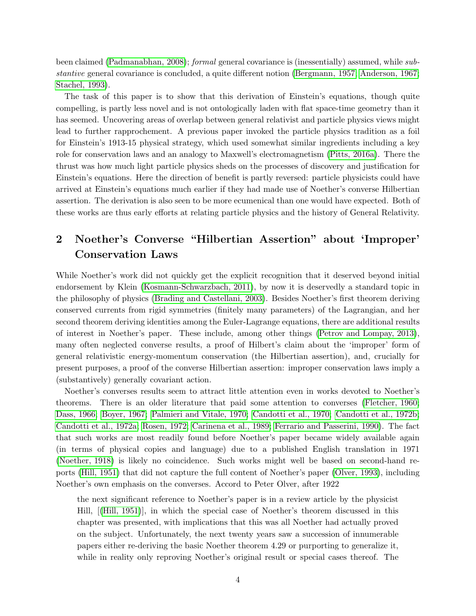been claimed [\(Padmanabhan, 2008\)](#page-20-3); formal general covariance is (inessentially) assumed, while substantive general covariance is concluded, a quite different notion [\(Bergmann, 1957;](#page-15-3) [Anderson, 1967;](#page-15-2) [Stachel, 1993\)](#page-22-7).

The task of this paper is to show that this derivation of Einstein's equations, though quite compelling, is partly less novel and is not ontologically laden with flat space-time geometry than it has seemed. Uncovering areas of overlap between general relativist and particle physics views might lead to further rapprochement. A previous paper invoked the particle physics tradition as a foil for Einstein's 1913-15 physical strategy, which used somewhat similar ingredients including a key role for conservation laws and an analogy to Maxwell's electromagnetism [\(Pitts, 2016a\)](#page-21-5). There the thrust was how much light particle physics sheds on the processes of discovery and justification for Einstein's equations. Here the direction of benefit is partly reversed: particle physicists could have arrived at Einstein's equations much earlier if they had made use of Noether's converse Hilbertian assertion. The derivation is also seen to be more ecumenical than one would have expected. Both of these works are thus early efforts at relating particle physics and the history of General Relativity.

# 2 Noether's Converse "Hilbertian Assertion" about 'Improper' Conservation Laws

While Noether's work did not quickly get the explicit recognition that it deserved beyond initial endorsement by Klein [\(Kosmann-Schwarzbach, 2011\)](#page-19-3), by now it is deservedly a standard topic in the philosophy of physics [\(Brading and Castellani, 2003\)](#page-16-2). Besides Noether's first theorem deriving conserved currents from rigid symmetries (finitely many parameters) of the Lagrangian, and her second theorem deriving identities among the Euler-Lagrange equations, there are additional results of interest in Noether's paper. These include, among other things [\(Petrov and Lompay, 2013\)](#page-20-4), many often neglected converse results, a proof of Hilbert's claim about the 'improper' form of general relativistic energy-momentum conservation (the Hilbertian assertion), and, crucially for present purposes, a proof of the converse Hilbertian assertion: improper conservation laws imply a (substantively) generally covariant action.

Noether's converses results seem to attract little attention even in works devoted to Noether's theorems. There is an older literature that paid some attention to converses [\(Fletcher, 1960;](#page-17-7) [Dass, 1966;](#page-16-3) [Boyer, 1967;](#page-15-4) [Palmieri and Vitale, 1970;](#page-20-5) [Candotti et al., 1970;](#page-16-4) [Candotti et al., 1972b;](#page-16-5) [Candotti et al., 1972a;](#page-16-6) [Rosen, 1972;](#page-21-6) [Carinena et al., 1989;](#page-16-7) [Ferrario and Passerini, 1990\)](#page-17-8). The fact that such works are most readily found before Noether's paper became widely available again (in terms of physical copies and language) due to a published English translation in 1971 [\(Noether, 1918\)](#page-19-2) is likely no coincidence. Such works might well be based on second-hand reports [\(Hill, 1951\)](#page-18-2) that did not capture the full content of Noether's paper [\(Olver, 1993\)](#page-20-1), including Noether's own emphasis on the converses. Accord to Peter Olver, after 1922

the next significant reference to Noether's paper is in a review article by the physicist Hill,[[\(Hill, 1951\)](#page-18-2)], in which the special case of Noether's theorem discussed in this chapter was presented, with implications that this was all Noether had actually proved on the subject. Unfortunately, the next twenty years saw a succession of innumerable papers either re-deriving the basic Noether theorem 4.29 or purporting to generalize it, while in reality only reproving Noether's original result or special cases thereof. The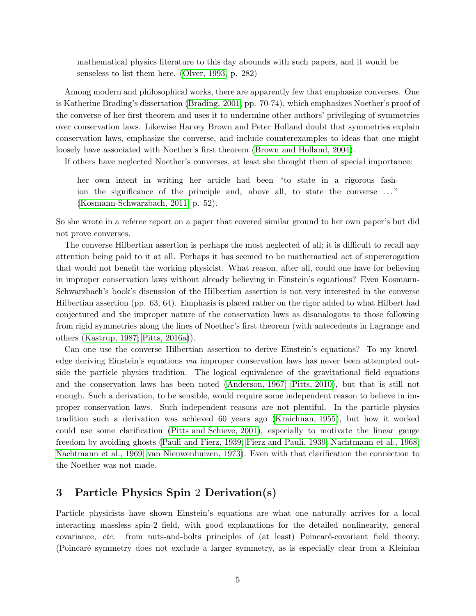mathematical physics literature to this day abounds with such papers, and it would be senseless to list them here. [\(Olver, 1993,](#page-20-1) p. 282)

Among modern and philosophical works, there are apparently few that emphasize converses. One is Katherine Brading's dissertation [\(Brading, 2001,](#page-15-5) pp. 70-74), which emphasizes Noether's proof of the converse of her first theorem and uses it to undermine other authors' privileging of symmetries over conservation laws. Likewise Harvey Brown and Peter Holland doubt that symmetries explain conservation laws, emphasize the converse, and include counterexamples to ideas that one might loosely have associated with Noether's first theorem (Brown [and Holland, 2004\)](#page-16-8).

If others have neglected Noether's converses, at least she thought them of special importance:

her own intent in writing her article had been "to state in a rigorous fashion the significance of the principle and, above all, to state the converse  $\dots$ " [\(Kosmann-Schwarzbach, 2011,](#page-19-3) p. 52).

So she wrote in a referee report on a paper that covered similar ground to her own paper's but did not prove converses.

The converse Hilbertian assertion is perhaps the most neglected of all; it is difficult to recall any attention being paid to it at all. Perhaps it has seemed to be mathematical act of supererogation that would not benefit the working physicist. What reason, after all, could one have for believing in improper conservation laws without already believing in Einstein's equations? Even Kosmann-Schwarzbach's book's discussion of the Hilbertian assertion is not very interested in the converse Hilbertian assertion (pp. 63, 64). Emphasis is placed rather on the rigor added to what Hilbert had conjectured and the improper nature of the conservation laws as disanalogous to those following from rigid symmetries along the lines of Noether's first theorem (with antecedents in Lagrange and others [\(Kastrup, 1987;](#page-19-4) [Pitts, 2016a\)](#page-21-5)).

Can one use the converse Hilbertian assertion to derive Einstein's equations? To my knowledge deriving Einstein's equations *via* improper conservation laws has never been attempted outside the particle physics tradition. The logical equivalence of the gravitational field equations and the conservation laws has been noted [\(Anderson, 1967;](#page-15-2) [Pitts, 2010\)](#page-21-0), but that is still not enough. Such a derivation, to be sensible, would require some independent reason to believe in improper conservation laws. Such independent reasons are not plentiful. In the particle physics tradition such a derivation was achieved 60 years ago [\(Kraichnan, 1955\)](#page-19-5), but how it worked could use some clarification [\(Pitts and Schieve, 2001\)](#page-21-7), especially to motivate the linear gauge freedom by avoiding ghosts [\(Pauli and Fierz, 1939;](#page-20-2) Fierz and [Pauli, 1939;](#page-17-2) [Nachtmann et al., 1968;](#page-19-6) [Nachtmann et al., 1969;](#page-19-7) [van Nieuwenhuizen, 1973\)](#page-23-0). Even with that clarification the connection to the Noether was not made.

### 3 Particle Physics Spin 2 Derivation(s)

Particle physicists have shown Einstein's equations are what one naturally arrives for a local interacting massless spin-2 field, with good explanations for the detailed nonlinearity, general covariance, etc. from nuts-and-bolts principles of (at least) Poincaré-covariant field theory. (Poincar´e symmetry does not exclude a larger symmetry, as is especially clear from a Kleinian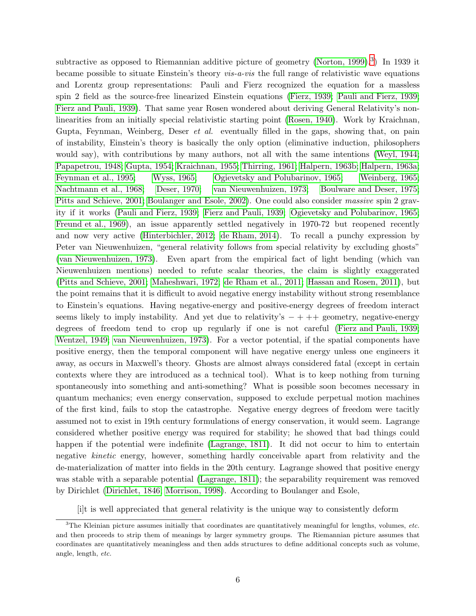subtractive as opposed to Riemannian additive picture of geometry [\(Norton, 1999\)](#page-20-6).<sup>[3](#page-5-0)</sup>) In 1939 it became possible to situate Einstein's theory vis-a-vis the full range of relativistic wave equations and Lorentz group representations: Pauli and Fierz recognized the equation for a massless spin 2 field as the source-free linearized Einstein equations [\(Fierz, 1939;](#page-17-9) [Pauli and Fierz, 1939;](#page-20-2) [Fierz and Pauli, 1939\)](#page-17-2). That same year Rosen wondered about deriving General Relativity's nonlinearities from an initially special relativistic starting point [\(Rosen, 1940\)](#page-22-5). Work by Kraichnan, Gupta, Feynman, Weinberg, Deser et al. eventually filled in the gaps, showing that, on pain of instability, Einstein's theory is basically the only option (eliminative induction, philosophers would say), with contributions by many authors, not all with the same intentions [\(Weyl, 1944;](#page-23-1) [Papapetrou, 1948;](#page-20-7) [Gupta, 1954;](#page-18-3) [Kraichnan, 1955;](#page-19-5) [Thirring,](#page-22-8) 1961; [Halpern, 1963b;](#page-18-4) [Halpern, 1963a;](#page-18-5) [Feynman et al., 1995;](#page-17-5) [Wyss, 1965;](#page-23-2) [Ogievetsky and Polubarinov, 1965;](#page-20-8) [Weinberg, 1965;](#page-23-3) [Nachtmann et al., 1968;](#page-19-6) [Deser, 1970;](#page-16-9) [van Nieuwenhuizen, 1973;](#page-23-0) [Boulware and Deser, 1975;](#page-15-6) [Pitts and Schieve, 2001;](#page-21-7) [Boulanger and Esole, 2002\)](#page-15-7). One could also consider massive spin 2 gravity if it works [\(Pauli and Fierz, 1939;](#page-20-2) [Fierz and Pauli, 1939;](#page-17-2) [Ogievetsky and Polubarinov, 1965;](#page-20-8) [Freund et al., 1969\)](#page-17-10), an issue apparently settled negatively in 1970-72 but reopened recently and now very active [\(Hinterbichler, 2012;](#page-19-8) [de Rham, 2014\)](#page-16-10). To recall a punchy expression by Peter van Nieuwenhuizen, "general relativity follows from special relativity by excluding ghosts" [\(van Nieuwenhuizen, 1973\)](#page-23-0). Even apart from the empirical fact of light bending (which van Nieuwenhuizen mentions) needed to refute scalar theories, the claim is slightly exaggerated [\(Pitts and Schieve, 2001;](#page-21-7) [Maheshwari, 1972;](#page-19-9) [de Rham et al., 2011;](#page-16-11) [Hassan and Rosen, 2011\)](#page-18-6), but the point remains that it is difficult to avoid negative energy instability without strong resemblance to Einstein's equations. Having negative-energy and positive-energy degrees of freedom interact seems likely to imply instability. And yet due to relativity's  $- + + +$  geometry, negative-energy degrees of freedom tend to crop up regularly if one is not careful [\(Fierz and Pauli, 1939;](#page-17-2) [Wentzel, 1949;](#page-23-4) [van Nieuwenhuizen, 1973\)](#page-23-0). For a vector potential, if the spatial components have positive energy, then the temporal component will have negative energy unless one engineers it away, as occurs in Maxwell's theory. Ghosts are almost always considered fatal (except in certain contexts where they are introduced as a technical tool). What is to keep nothing from turning spontaneously into something and anti-something? What is possible soon becomes necessary in quantum mechanics; even energy conservation, supposed to exclude perpetual motion machines of the first kind, fails to stop the catastrophe. Negative energy degrees of freedom were tacitly assumed not to exist in 19th century formulations of energy conservation, it would seem. Lagrange considered whether positive energy was required for stability; he showed that bad things could happen if the potential were indefinite [\(Lagrange, 1811\)](#page-19-10). It did not occur to him to entertain negative kinetic energy, however, something hardly conceivable apart from relativity and the de-materialization of matter into fields in the 20th century. Lagrange showed that positive energy was stable with a separable potential [\(Lagrange, 1811\)](#page-19-10); the separability requirement was removed by Dirichlet [\(Dirichlet, 1846;](#page-17-11) [Morrison, 1998\)](#page-19-11). According to Boulanger and Esole,

[i]t is well appreciated that general relativity is the unique way to consistently deform

<span id="page-5-0"></span> $3$ The Kleinian picture assumes initially that coordinates are quantitatively meaningful for lengths, volumes, etc. and then proceeds to strip them of meanings by larger symmetry groups. The Riemannian picture assumes that coordinates are quantitatively meaningless and then adds structures to define additional concepts such as volume, angle, length, etc.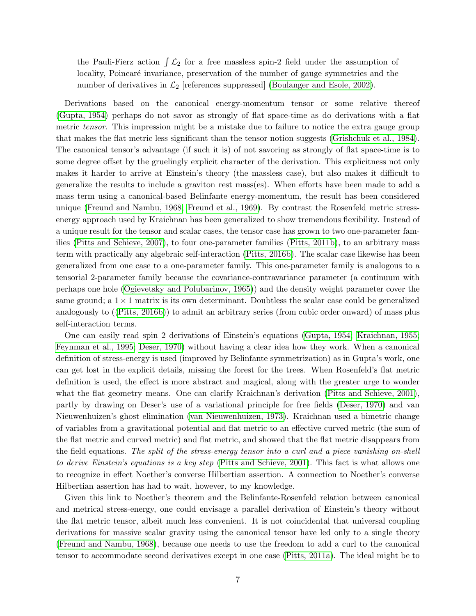the Pauli-Fierz action  $\int \mathcal{L}_2$  for a free massless spin-2 field under the assumption of locality, Poincaré invariance, preservation of the number of gauge symmetries and the number of derivatives in  $\mathcal{L}_2$  [references suppressed] [\(Boulanger and Esole, 2002\)](#page-15-7).

Derivations based on the canonical energy-momentum tensor or some relative thereof [\(Gupta, 1954\)](#page-18-3) perhaps do not savor as strongly of flat space-time as do derivations with a flat metric *tensor*. This impression might be a mistake due to failure to notice the extra gauge group that makes the flat metric less significant than the tensor notion suggests [\(Grishchuk et al., 1984\)](#page-18-7). The canonical tensor's advantage (if such it is) of not savoring as strongly of flat space-time is to some degree offset by the gruelingly explicit character of the derivation. This explicitness not only makes it harder to arrive at Einstein's theory (the massless case), but also makes it difficult to generalize the results to include a graviton rest mass(es). When efforts have been made to add a mass term using a canonical-based Belinfante energy-momentum, the result has been considered unique [\(Freund and Nambu, 1968;](#page-17-12) [Freund et al., 1969\)](#page-17-10). By contrast the Rosenfeld metric stressenergy approach used by Kraichnan has been generalized to show tremendous flexibility. Instead of a unique result for the tensor and scalar cases, the tensor case has grown to two one-parameter families [\(Pitts and Schieve, 2007\)](#page-21-8), to four one-parameter families [\(Pitts, 2011b\)](#page-21-9), to an arbitrary mass term with practically any algebraic self-interaction [\(Pitts, 2016b\)](#page-21-10). The scalar case likewise has been generalized from one case to a one-parameter family. This one-parameter family is analogous to a tensorial 2-parameter family because the covariance-contravariance parameter (a continuum with perhaps one hole [\(Ogievetsky and Polubarinov, 1965\)](#page-20-8)) and the density weight parameter cover the same ground; a  $1 \times 1$  matrix is its own determinant. Doubtless the scalar case could be generalized analogously to ([\(Pitts, 2016b\)](#page-21-10)) to admit an arbitrary series (from cubic order onward) of mass plus self-interaction terms.

One can easily read spin 2 derivations of Einstein's equations [\(Gupta, 1954;](#page-18-3) [Kraichnan, 1955;](#page-19-5) [Feynman et al., 1995;](#page-17-5) [Deser, 1970\)](#page-16-9) without having a clear idea how they work. When a canonical definition of stress-energy is used (improved by Belinfante symmetrization) as in Gupta's work, one can get lost in the explicit details, missing the forest for the trees. When Rosenfeld's flat metric definition is used, the effect is more abstract and magical, along with the greater urge to wonder what the flat geometry means. One can clarify Kraichnan's derivation [\(Pitts and Schieve, 2001\)](#page-21-7), partly by drawing on Deser's use of a variational principle for free fields [\(Deser, 1970\)](#page-16-9) and van Nieuwenhuizen's ghost elimination [\(van Nieuwenhuizen, 1973\)](#page-23-0). Kraichnan used a bimetric change of variables from a gravitational potential and flat metric to an effective curved metric (the sum of the flat metric and curved metric) and flat metric, and showed that the flat metric disappears from the field equations. The split of the stress-energy tensor into a curl and a piece vanishing on-shell to derive Einstein's equations is a key step [\(Pitts and Schieve, 2001\)](#page-21-7). This fact is what allows one to recognize in effect Noether's converse Hilbertian assertion. A connection to Noether's converse Hilbertian assertion has had to wait, however, to my knowledge.

Given this link to Noether's theorem and the Belinfante-Rosenfeld relation between canonical and metrical stress-energy, one could envisage a parallel derivation of Einstein's theory without the flat metric tensor, albeit much less convenient. It is not coincidental that universal coupling derivations for massive scalar gravity using the canonical tensor have led only to a single theory [\(Freund and Nambu, 1968\)](#page-17-12), because one needs to use the freedom to add a curl to the canonical tensor to accommodate second derivatives except in one case [\(Pitts, 2011a\)](#page-21-11). The ideal might be to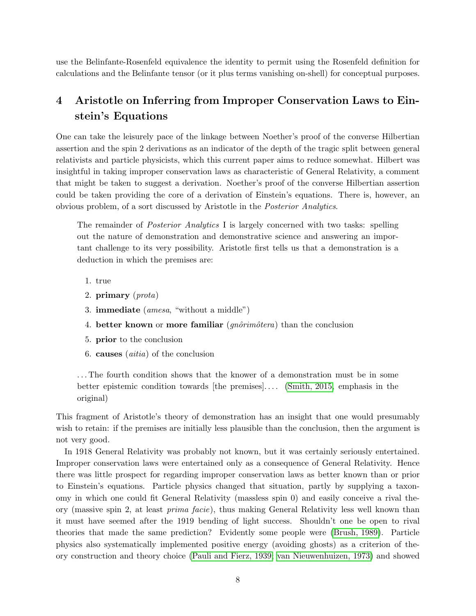use the Belinfante-Rosenfeld equivalence the identity to permit using the Rosenfeld definition for calculations and the Belinfante tensor (or it plus terms vanishing on-shell) for conceptual purposes.

# 4 Aristotle on Inferring from Improper Conservation Laws to Einstein's Equations

One can take the leisurely pace of the linkage between Noether's proof of the converse Hilbertian assertion and the spin 2 derivations as an indicator of the depth of the tragic split between general relativists and particle physicists, which this current paper aims to reduce somewhat. Hilbert was insightful in taking improper conservation laws as characteristic of General Relativity, a comment that might be taken to suggest a derivation. Noether's proof of the converse Hilbertian assertion could be taken providing the core of a derivation of Einstein's equations. There is, however, an obvious problem, of a sort discussed by Aristotle in the Posterior Analytics.

The remainder of Posterior Analytics I is largely concerned with two tasks: spelling out the nature of demonstration and demonstrative science and answering an important challenge to its very possibility. Aristotle first tells us that a demonstration is a deduction in which the premises are:

- 1. true
- 2. primary (prota)
- 3. immediate (amesa, "without a middle")
- 4. better known or more familiar  $(qn\hat{o}rim\hat{o}ten)$  than the conclusion
- 5. prior to the conclusion
- 6. causes  $(aitia)$  of the conclusion

. . . The fourth condition shows that the knower of a demonstration must be in some better epistemic condition towards [the premises]. . . . [\(Smith, 2015,](#page-22-9) emphasis in the original)

This fragment of Aristotle's theory of demonstration has an insight that one would presumably wish to retain: if the premises are initially less plausible than the conclusion, then the argument is not very good.

In 1918 General Relativity was probably not known, but it was certainly seriously entertained. Improper conservation laws were entertained only as a consequence of General Relativity. Hence there was little prospect for regarding improper conservation laws as better known than or prior to Einstein's equations. Particle physics changed that situation, partly by supplying a taxonomy in which one could fit General Relativity (massless spin 0) and easily conceive a rival theory (massive spin 2, at least prima facie), thus making General Relativity less well known than it must have seemed after the 1919 bending of light success. Shouldn't one be open to rival theories that made the same prediction? Evidently some people were [\(Brush, 1989\)](#page-16-12). Particle physics also systematically implemented positive energy (avoiding ghosts) as a criterion of theory construction and theory choice [\(Pauli and Fierz, 1939;](#page-20-2) [van Nieuwenhuizen, 1973\)](#page-23-0) and showed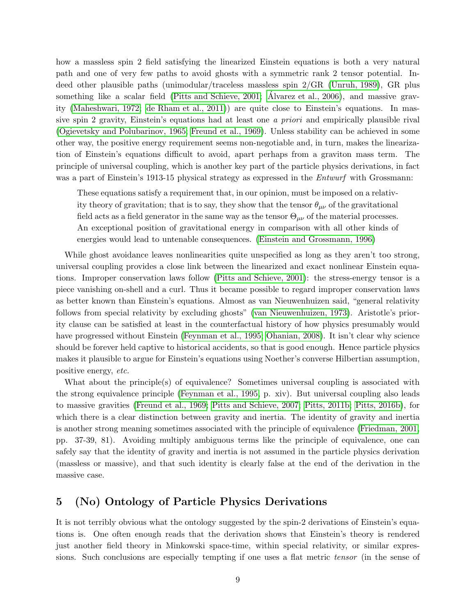how a massless spin 2 field satisfying the linearized Einstein equations is both a very natural path and one of very few paths to avoid ghosts with a symmetric rank 2 tensor potential. Indeed other plausible paths (unimodular/traceless massless spin 2/GR [\(Unruh, 1989\)](#page-22-10), GR plus something like a scalar field [\(Pitts and Schieve, 2001;](#page-21-7) [Alvarez et al., 2006\)](#page-15-8), and massive gravity [\(Maheshwari, 1972;](#page-19-9) [de Rham et al., 2011\)](#page-16-11)) are quite close to Einstein's equations. In massive spin 2 gravity, Einstein's equations had at least one a priori and empirically plausible rival [\(Ogievetsky and Polubarinov, 1965;](#page-20-8) [Freund et al., 1969\)](#page-17-10). Unless stability can be achieved in some other way, the positive energy requirement seems non-negotiable and, in turn, makes the linearization of Einstein's equations difficult to avoid, apart perhaps from a graviton mass term. The principle of universal coupling, which is another key part of the particle physics derivations, in fact was a part of Einstein's 1913-15 physical strategy as expressed in the *Entwurf* with Grossmann:

These equations satisfy a requirement that, in our opinion, must be imposed on a relativity theory of gravitation; that is to say, they show that the tensor  $\theta_{\mu\nu}$  of the gravitational field acts as a field generator in the same way as the tensor  $\Theta_{\mu\nu}$  of the material processes. An exceptional position of gravitational energy in comparison with all other kinds of energies would lead to untenable consequences. [\(Einstein and Grossmann, 1996\)](#page-17-13)

While ghost avoidance leaves nonlinearities quite unspecified as long as they aren't too strong, universal coupling provides a close link between the linearized and exact nonlinear Einstein equations. Improper conservation laws follow [\(Pitts and Schieve, 2001\)](#page-21-7): the stress-energy tensor is a piece vanishing on-shell and a curl. Thus it became possible to regard improper conservation laws as better known than Einstein's equations. Almost as van Nieuwenhuizen said, "general relativity follows from special relativity by excluding ghosts" [\(van Nieuwenhuizen, 1973\)](#page-23-0). Aristotle's priority clause can be satisfied at least in the counterfactual history of how physics presumably would have progressed without Einstein [\(Feynman et al., 1995;](#page-17-5) [Ohanian, 2008\)](#page-20-9). It isn't clear why science should be forever held captive to historical accidents, so that is good enough. Hence particle physics makes it plausible to argue for Einstein's equations using Noether's converse Hilbertian assumption, positive energy, etc.

What about the principle(s) of equivalence? Sometimes universal coupling is associated with the strong equivalence principle [\(Feynman et al., 1995,](#page-17-5) p. xiv). But universal coupling also leads to massive gravities [\(Freund et al., 1969;](#page-17-10) [Pitts and Schieve, 2007;](#page-21-8) [Pitts, 2011b;](#page-21-9) [Pitts, 2016b\)](#page-21-10), for which there is a clear distinction between gravity and inertia. The identity of gravity and inertia is another strong meaning sometimes associated with the principle of equivalence [\(Friedman, 2001,](#page-18-8) pp. 37-39, 81). Avoiding multiply ambiguous terms like the principle of equivalence, one can safely say that the identity of gravity and inertia is not assumed in the particle physics derivation (massless or massive), and that such identity is clearly false at the end of the derivation in the massive case.

# 5 (No) Ontology of Particle Physics Derivations

It is not terribly obvious what the ontology suggested by the spin-2 derivations of Einstein's equations is. One often enough reads that the derivation shows that Einstein's theory is rendered just another field theory in Minkowski space-time, within special relativity, or similar expressions. Such conclusions are especially tempting if one uses a flat metric *tensor* (in the sense of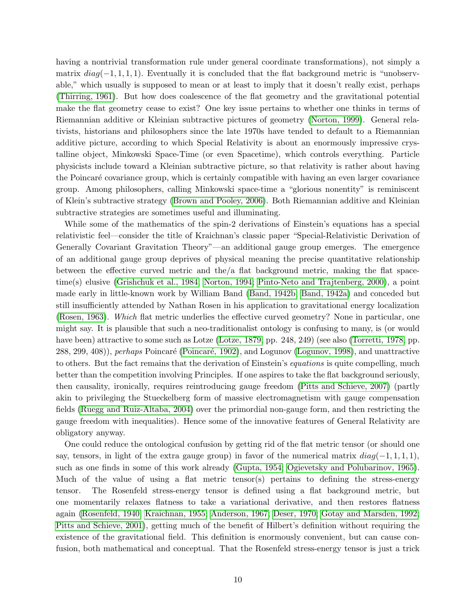having a nontrivial transformation rule under general coordinate transformations), not simply a matrix  $diag(-1, 1, 1, 1)$ . Eventually it is concluded that the flat background metric is "unobservable," which usually is supposed to mean or at least to imply that it doesn't really exist, perhaps [\(Thirring, 1961\)](#page-22-8). But how does coalescence of the flat geometry and the gravitational potential make the flat geometry cease to exist? One key issue pertains to whether one thinks in terms of Riemannian additive or Kleinian subtractive pictures of geometry [\(Norton, 1999\)](#page-20-6). General relativists, historians and philosophers since the late 1970s have tended to default to a Riemannian additive picture, according to which Special Relativity is about an enormously impressive crystalline object, Minkowski Space-Time (or even Spacetime), which controls everything. Particle physicists include toward a Kleinian subtractive picture, so that relativity is rather about having the Poincar´e covariance group, which is certainly compatible with having an even larger covariance group. Among philosophers, calling Minkowski space-time a "glorious nonentity" is reminiscent of Klein's subtractive strategy [\(Brown and Pooley, 2006\)](#page-16-13). Both Riemannian additive and Kleinian subtractive strategies are sometimes useful and illuminating.

While some of the mathematics of the spin-2 derivations of Einstein's equations has a special relativistic feel—consider the title of Kraichnan's classic paper "Special-Relativistic Derivation of Generally Covariant Gravitation Theory"—an additional gauge group emerges. The emergence of an additional gauge group deprives of physical meaning the precise quantitative relationship between the effective curved metric and the/a flat background metric, making the flat spacetime(s) elusive [\(Grishchuk et al., 1984;](#page-18-7) [Norton, 1994;](#page-20-10) [Pinto-Neto and Trajtenberg, 2000\)](#page-20-11), a point made early in little-known work by William Band [\(Band, 1942b;](#page-15-9) [Band, 1942a\)](#page-15-10) and conceded but still insufficiently attended by Nathan Rosen in his application to gravitational energy localization [\(Rosen, 1963\)](#page-22-11). Which flat metric underlies the effective curved geometry? None in particular, one might say. It is plausible that such a neo-traditionalist ontology is confusing to many, is (or would have been) attractive to some such as Lotze [\(Lotze, 1879,](#page-19-12) pp. 248, 249) (see also [\(Torretti, 1978,](#page-22-12) pp. 288, 299, 408)), *perhaps* Poincaré (Poincaré, 1902), and Logunov [\(Logunov, 1998\)](#page-19-13), and unattractive to others. But the fact remains that the derivation of Einstein's *equations* is quite compelling, much better than the competition involving Principles. If one aspires to take the flat background seriously, then causality, ironically, requires reintroducing gauge freedom [\(Pitts and Schieve, 2007\)](#page-21-8) (partly akin to privileging the Stueckelberg form of massive electromagnetism with gauge compensation fields [\(Ruegg and Ruiz-Altaba, 2004\)](#page-22-13) over the primordial non-gauge form, and then restricting the gauge freedom with inequalities). Hence some of the innovative features of General Relativity are obligatory anyway.

One could reduce the ontological confusion by getting rid of the flat metric tensor (or should one say, tensors, in light of the extra gauge group) in favor of the numerical matrix  $diag(-1, 1, 1, 1)$ , such as one finds in some of this work already [\(Gupta, 1954;](#page-18-3) [Ogievetsky and Polubarinov, 1965\)](#page-20-8). Much of the value of using a flat metric tensor(s) pertains to defining the stress-energy tensor. The Rosenfeld stress-energy tensor is defined using a flat background metric, but one momentarily relaxes flatness to take a variational derivative, and then restores flatness again [\(Rosenfeld, 1940;](#page-22-14) [Kraichnan, 1955;](#page-19-5) [Anderson, 1967;](#page-15-2) [Deser, 1970;](#page-16-9) [Gotay and Marsden, 1992;](#page-18-9) [Pitts and Schieve, 2001\)](#page-21-7), getting much of the benefit of Hilbert's definition without requiring the existence of the gravitational field. This definition is enormously convenient, but can cause confusion, both mathematical and conceptual. That the Rosenfeld stress-energy tensor is just a trick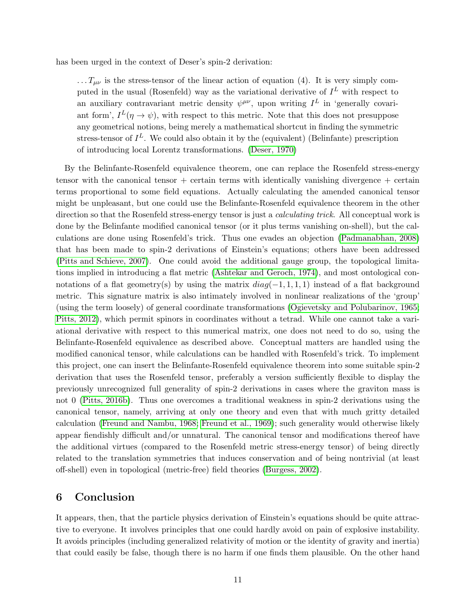has been urged in the context of Deser's spin-2 derivation:

 $\ldots T_{\mu\nu}$  is the stress-tensor of the linear action of equation (4). It is very simply computed in the usual (Rosenfeld) way as the variational derivative of  $I<sup>L</sup>$  with respect to an auxiliary contravariant metric density  $\psi^{\mu\nu}$ , upon writing  $I^L$  in 'generally covariant form',  $I^L(\eta \to \psi)$ , with respect to this metric. Note that this does not presuppose any geometrical notions, being merely a mathematical shortcut in finding the symmetric stress-tensor of  $I^L$ . We could also obtain it by the (equivalent) (Belinfante) prescription of introducing local Lorentz transformations. [\(Deser, 1970\)](#page-16-9)

By the Belinfante-Rosenfeld equivalence theorem, one can replace the Rosenfeld stress-energy tensor with the canonical tensor  $+$  certain terms with identically vanishing divergence  $+$  certain terms proportional to some field equations. Actually calculating the amended canonical tensor might be unpleasant, but one could use the Belinfante-Rosenfeld equivalence theorem in the other direction so that the Rosenfeld stress-energy tensor is just a *calculating trick*. All conceptual work is done by the Belinfante modified canonical tensor (or it plus terms vanishing on-shell), but the calculations are done using Rosenfeld's trick. Thus one evades an objection [\(Padmanabhan, 2008\)](#page-20-3) that has been made to spin-2 derivations of Einstein's equations; others have been addressed [\(Pitts and Schieve, 2007\)](#page-21-8). One could avoid the additional gauge group, the topological limitations implied in introducing a flat metric [\(Ashtekar and Geroch, 1974\)](#page-15-11), and most ontological connotations of a flat geometry(s) by using the matrix  $diag(-1, 1, 1, 1)$  instead of a flat background metric. This signature matrix is also intimately involved in nonlinear realizations of the 'group' (using the term loosely) of general coordinate transformations [\(Ogievetsky and Polubarinov, 1965;](#page-20-8) [Pitts, 2012\)](#page-21-13), which permit spinors in coordinates without a tetrad. While one cannot take a variational derivative with respect to this numerical matrix, one does not need to do so, using the Belinfante-Rosenfeld equivalence as described above. Conceptual matters are handled using the modified canonical tensor, while calculations can be handled with Rosenfeld's trick. To implement this project, one can insert the Belinfante-Rosenfeld equivalence theorem into some suitable spin-2 derivation that uses the Rosenfeld tensor, preferably a version sufficiently flexible to display the previously unrecognized full generality of spin-2 derivations in cases where the graviton mass is not 0 [\(Pitts, 2016b\)](#page-21-10). Thus one overcomes a traditional weakness in spin-2 derivations using the canonical tensor, namely, arriving at only one theory and even that with much gritty detailed calculation [\(Freund and Nambu, 1968;](#page-17-12) [Freund et al., 1969\)](#page-17-10); such generality would otherwise likely appear fiendishly difficult and/or unnatural. The canonical tensor and modifications thereof have the additional virtues (compared to the Rosenfeld metric stress-energy tensor) of being directly related to the translation symmetries that induces conservation and of being nontrivial (at least off-shell) even in topological (metric-free) field theories [\(Burgess, 2002\)](#page-16-14).

### 6 Conclusion

It appears, then, that the particle physics derivation of Einstein's equations should be quite attractive to everyone. It involves principles that one could hardly avoid on pain of explosive instability. It avoids principles (including generalized relativity of motion or the identity of gravity and inertia) that could easily be false, though there is no harm if one finds them plausible. On the other hand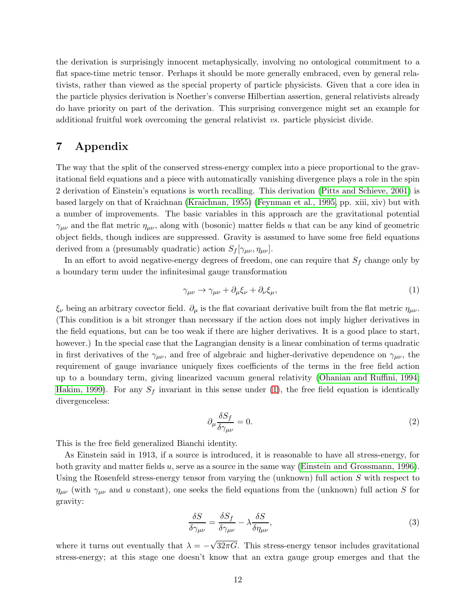the derivation is surprisingly innocent metaphysically, involving no ontological commitment to a flat space-time metric tensor. Perhaps it should be more generally embraced, even by general relativists, rather than viewed as the special property of particle physicists. Given that a core idea in the particle physics derivation is Noether's converse Hilbertian assertion, general relativists already do have priority on part of the derivation. This surprising convergence might set an example for additional fruitful work overcoming the general relativist vs. particle physicist divide.

## 7 Appendix

The way that the split of the conserved stress-energy complex into a piece proportional to the gravitational field equations and a piece with automatically vanishing divergence plays a role in the spin 2 derivation of Einstein's equations is worth recalling. This derivation [\(Pitts and Schieve, 2001\)](#page-21-7) is based largely on that of Kraichnan [\(Kraichnan, 1955\)](#page-19-5) [\(Feynman et al., 1995,](#page-17-5) pp. xiii, xiv) but with a number of improvements. The basic variables in this approach are the gravitational potential  $\gamma_{\mu\nu}$  and the flat metric  $\eta_{\mu\nu}$ , along with (bosonic) matter fields u that can be any kind of geometric object fields, though indices are suppressed. Gravity is assumed to have some free field equations derived from a (presumably quadratic) action  $S_f[\gamma_{\mu\nu}, \eta_{\mu\nu}]$ .

In an effort to avoid negative-energy degrees of freedom, one can require that  $S_f$  change only by a boundary term under the infinitesimal gauge transformation

<span id="page-11-0"></span>
$$
\gamma_{\mu\nu} \to \gamma_{\mu\nu} + \partial_{\mu}\xi_{\nu} + \partial_{\nu}\xi_{\mu},\tag{1}
$$

 $\xi_{\nu}$  being an arbitrary covector field.  $\partial_{\mu}$  is the flat covariant derivative built from the flat metric  $\eta_{\mu\nu}$ . (This condition is a bit stronger than necessary if the action does not imply higher derivatives in the field equations, but can be too weak if there are higher derivatives. It is a good place to start, however.) In the special case that the Lagrangian density is a linear combination of terms quadratic in first derivatives of the  $\gamma_{\mu\nu}$ , and free of algebraic and higher-derivative dependence on  $\gamma_{\mu\nu}$ , the requirement of gauge invariance uniquely fixes coefficients of the terms in the free field action up to a boundary term, giving linearized vacuum general relativity [\(Ohanian and Ruffini, 1994;](#page-20-12) [Hakim, 1999\)](#page-18-10). For any  $S_f$  invariant in this sense under [\(1\)](#page-11-0), the free field equation is identically divergenceless:

<span id="page-11-2"></span>
$$
\partial_{\mu} \frac{\delta S_f}{\delta \gamma_{\mu\nu}} = 0. \tag{2}
$$

This is the free field generalized Bianchi identity.

As Einstein said in 1913, if a source is introduced, it is reasonable to have all stress-energy, for both gravity and matter fields u, serve as a source in the same way [\(Einstein and Grossmann, 1996\)](#page-17-13). Using the Rosenfeld stress-energy tensor from varying the (unknown) full action S with respect to  $\eta_{\mu\nu}$  (with  $\gamma_{\mu\nu}$  and u constant), one seeks the field equations from the (unknown) full action S for gravity:

<span id="page-11-1"></span>
$$
\frac{\delta S}{\delta \gamma_{\mu\nu}} = \frac{\delta S_f}{\delta \gamma_{\mu\nu}} - \lambda \frac{\delta S}{\delta \eta_{\mu\nu}},\tag{3}
$$

where it turns out eventually that  $\lambda = -\sqrt{32\pi G}$ . This stress-energy tensor includes gravitational stress-energy; at this stage one doesn't know that an extra gauge group emerges and that the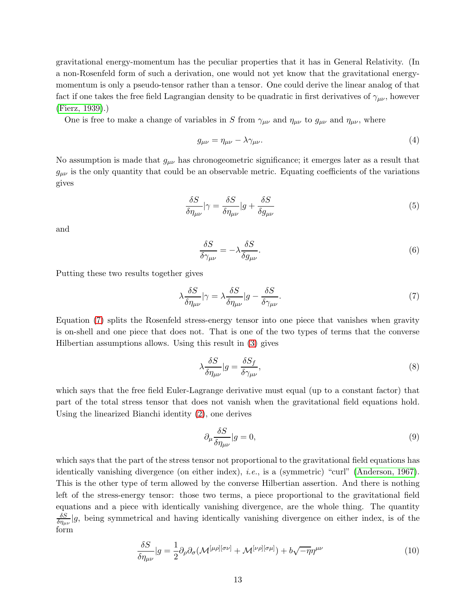gravitational energy-momentum has the peculiar properties that it has in General Relativity. (In a non-Rosenfeld form of such a derivation, one would not yet know that the gravitational energymomentum is only a pseudo-tensor rather than a tensor. One could derive the linear analog of that fact if one takes the free field Lagrangian density to be quadratic in first derivatives of  $\gamma_{\mu\nu}$ , however [\(Fierz, 1939\)](#page-17-9).)

One is free to make a change of variables in S from  $\gamma_{\mu\nu}$  and  $\eta_{\mu\nu}$  to  $g_{\mu\nu}$  and  $\eta_{\mu\nu}$ , where

$$
g_{\mu\nu} = \eta_{\mu\nu} - \lambda \gamma_{\mu\nu}.
$$
 (4)

No assumption is made that  $g_{\mu\nu}$  has chronogeometric significance; it emerges later as a result that  $g_{\mu\nu}$  is the only quantity that could be an observable metric. Equating coefficients of the variations gives

$$
\frac{\delta S}{\delta \eta_{\mu\nu}}|\gamma = \frac{\delta S}{\delta \eta_{\mu\nu}}|g + \frac{\delta S}{\delta g_{\mu\nu}}\tag{5}
$$

and

$$
\frac{\delta S}{\delta \gamma_{\mu\nu}} = -\lambda \frac{\delta S}{\delta g_{\mu\nu}}.\tag{6}
$$

Putting these two results together gives

<span id="page-12-0"></span>
$$
\lambda \frac{\delta S}{\delta \eta_{\mu\nu}} |\gamma = \lambda \frac{\delta S}{\delta \eta_{\mu\nu}} |g - \frac{\delta S}{\delta \gamma_{\mu\nu}}.\tag{7}
$$

Equation [\(7\)](#page-12-0) splits the Rosenfeld stress-energy tensor into one piece that vanishes when gravity is on-shell and one piece that does not. That is one of the two types of terms that the converse Hilbertian assumptions allows. Using this result in [\(3\)](#page-11-1) gives

$$
\lambda \frac{\delta S}{\delta \eta_{\mu\nu}} |g = \frac{\delta S_f}{\delta \gamma_{\mu\nu}},\tag{8}
$$

which says that the free field Euler-Lagrange derivative must equal (up to a constant factor) that part of the total stress tensor that does not vanish when the gravitational field equations hold. Using the linearized Bianchi identity [\(2\)](#page-11-2), one derives

$$
\partial_{\mu} \frac{\delta S}{\delta \eta_{\mu\nu}} |g = 0,\tag{9}
$$

which says that the part of the stress tensor not proportional to the gravitational field equations has identically vanishing divergence (on either index), i.e., is a (symmetric) "curl" [\(Anderson, 1967\)](#page-15-2). This is the other type of term allowed by the converse Hilbertian assertion. And there is nothing left of the stress-energy tensor: those two terms, a piece proportional to the gravitational field equations and a piece with identically vanishing divergence, are the whole thing. The quantity  $\delta S$  $\frac{\partial S}{\partial \eta_{\mu\nu}}|g$ , being symmetrical and having identically vanishing divergence on either index, is of the form

$$
\frac{\delta S}{\delta \eta_{\mu\nu}}|g = \frac{1}{2} \partial_{\rho} \partial_{\sigma} (\mathcal{M}^{[\mu\rho][\sigma\nu]} + \mathcal{M}^{[\nu\rho][\sigma\mu]}) + b\sqrt{-\eta} \eta^{\mu\nu} \tag{10}
$$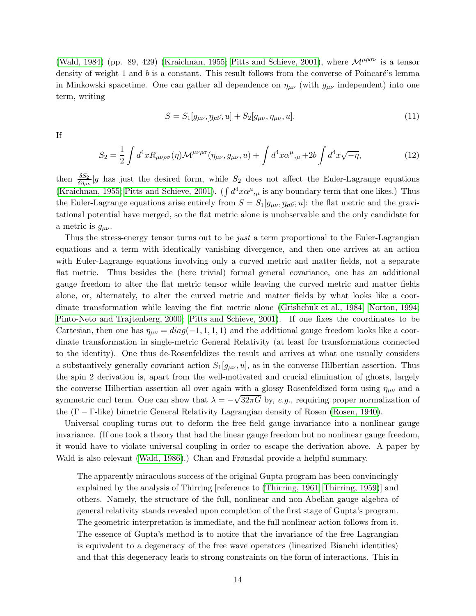[\(Wald, 1984\)](#page-23-5) (pp. 89, 429) [\(Kraichnan, 1955;](#page-19-5) [Pitts and Schieve, 2001\)](#page-21-7), where  $\mathcal{M}^{\mu\rho\sigma\nu}$  is a tensor density of weight 1 and  $b$  is a constant. This result follows from the converse of Poincaré's lemma in Minkowski spacetime. One can gather all dependence on  $\eta_{\mu\nu}$  (with  $g_{\mu\nu}$  independent) into one term, writing

$$
S = S_1[g_{\mu\nu}, \eta_{\mu\nu}, u] + S_2[g_{\mu\nu}, \eta_{\mu\nu}, u].
$$
\n(11)

If

$$
S_2 = \frac{1}{2} \int d^4x R_{\mu\nu\rho\sigma}(\eta) \mathcal{M}^{\mu\nu\rho\sigma}(\eta_{\mu\nu}, g_{\mu\nu}, u) + \int d^4x \alpha^\mu,_{\mu} + 2b \int d^4x \sqrt{-\eta}, \tag{12}
$$

then  $\frac{\delta S_2}{\delta \eta_{\mu\nu}}|g|$  has just the desired form, while  $S_2$  does not affect the Euler-Lagrange equations [\(Kraichnan, 1955;](#page-19-5) [Pitts and Schieve, 2001\)](#page-21-7). ( $\int d^4x \alpha^{\mu}$ , is any boundary term that one likes.) Thus the Euler-Lagrange equations arise entirely from  $S = S_1[g_{\mu\nu}, \eta_{\mu\nu}, u]$ : the flat metric and the gravitational potential have merged, so the flat metric alone is unobservable and the only candidate for a metric is  $g_{\mu\nu}$ .

Thus the stress-energy tensor turns out to be *just* a term proportional to the Euler-Lagrangian equations and a term with identically vanishing divergence, and then one arrives at an action with Euler-Lagrange equations involving only a curved metric and matter fields, not a separate flat metric. Thus besides the (here trivial) formal general covariance, one has an additional gauge freedom to alter the flat metric tensor while leaving the curved metric and matter fields alone, or, alternately, to alter the curved metric and matter fields by what looks like a coordinate transformation while leaving the flat metric alone [\(Grishchuk et al., 1984;](#page-18-7) [Norton, 1994;](#page-20-10) [Pinto-Neto and Trajtenberg, 2000;](#page-20-11) [Pitts and Schieve, 2001\)](#page-21-7). If one fixes the coordinates to be Cartesian, then one has  $\eta_{\mu\nu} = diag(-1, 1, 1, 1)$  and the additional gauge freedom looks like a coordinate transformation in single-metric General Relativity (at least for transformations connected to the identity). One thus de-Rosenfeldizes the result and arrives at what one usually considers a substantively generally covariant action  $S_1[g_{\mu\nu}, u]$ , as in the converse Hilbertian assertion. Thus the spin 2 derivation is, apart from the well-motivated and crucial elimination of ghosts, largely the converse Hilbertian assertion all over again with a glossy Rosenfeldized form using  $\eta_{\mu\nu}$  and a symmetric curl term. One can show that  $\lambda = -\sqrt{32\pi G}$  by, e.g., requiring proper normalization of the (Γ − Γ-like) bimetric General Relativity Lagrangian density of Rosen [\(Rosen, 1940\)](#page-22-5).

Universal coupling turns out to deform the free field gauge invariance into a nonlinear gauge invariance. (If one took a theory that had the linear gauge freedom but no nonlinear gauge freedom, it would have to violate universal coupling in order to escape the derivation above. A paper by Wald is also relevant [\(Wald, 1986\)](#page-23-6).) Chan and Frønsdal provide a helpful summary.

The apparently miraculous success of the original Gupta program has been convincingly explained by the analysis of Thirring [reference to [\(Thirring, 1961;](#page-22-8) [Thirring, 1959\)](#page-22-15)] and others. Namely, the structure of the full, nonlinear and non-Abelian gauge algebra of general relativity stands revealed upon completion of the first stage of Gupta's program. The geometric interpretation is immediate, and the full nonlinear action follows from it. The essence of Gupta's method is to notice that the invariance of the free Lagrangian is equivalent to a degeneracy of the free wave operators (linearized Bianchi identities) and that this degeneracy leads to strong constraints on the form of interactions. This in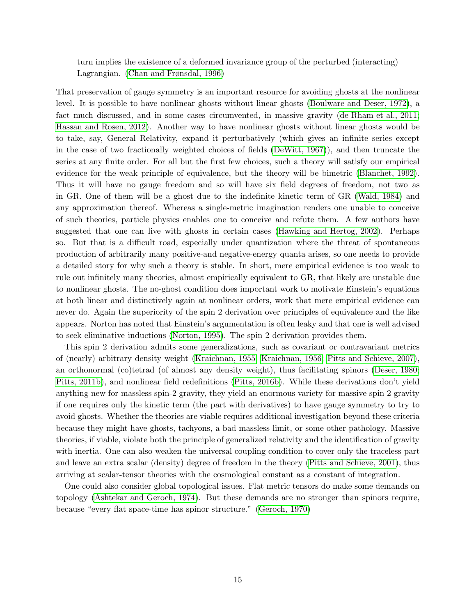turn implies the existence of a deformed invariance group of the perturbed (interacting) Lagrangian. [\(Chan and Frønsdal, 1996\)](#page-16-15)

That preservation of gauge symmetry is an important resource for avoiding ghosts at the nonlinear level. It is possible to have nonlinear ghosts without linear ghosts [\(Boulware and Deser, 1972\)](#page-15-12), a fact much discussed, and in some cases circumvented, in massive gravity [\(de Rham et al., 2011;](#page-16-11) [Hassan and Rosen, 2012\)](#page-18-11). Another way to have nonlinear ghosts without linear ghosts would be to take, say, General Relativity, expand it perturbatively (which gives an infinite series except in the case of two fractionally weighted choices of fields [\(DeWitt, 1967\)](#page-17-14)), and then truncate the series at any finite order. For all but the first few choices, such a theory will satisfy our empirical evidence for the weak principle of equivalence, but the theory will be bimetric [\(Blanchet, 1992\)](#page-15-13). Thus it will have no gauge freedom and so will have six field degrees of freedom, not two as in GR. One of them will be a ghost due to the indefinite kinetic term of GR [\(Wald, 1984\)](#page-23-5) and any approximation thereof. Whereas a single-metric imagination renders one unable to conceive of such theories, particle physics enables one to conceive and refute them. A few authors have suggested that one can live with ghosts in certain cases [\(Hawking and Hertog, 2002\)](#page-18-12). Perhaps so. But that is a difficult road, especially under quantization where the threat of spontaneous production of arbitrarily many positive-and negative-energy quanta arises, so one needs to provide a detailed story for why such a theory is stable. In short, mere empirical evidence is too weak to rule out infinitely many theories, almost empirically equivalent to GR, that likely are unstable due to nonlinear ghosts. The no-ghost condition does important work to motivate Einstein's equations at both linear and distinctively again at nonlinear orders, work that mere empirical evidence can never do. Again the superiority of the spin 2 derivation over principles of equivalence and the like appears. Norton has noted that Einstein's argumentation is often leaky and that one is well advised to seek eliminative inductions [\(Norton, 1995\)](#page-20-13). The spin 2 derivation provides them.

This spin 2 derivation admits some generalizations, such as covariant or contravariant metrics of (nearly) arbitrary density weight [\(Kraichnan, 1955;](#page-19-5) [Kraichnan, 1956;](#page-19-14) [Pitts and Schieve, 2007\)](#page-21-8), an orthonormal (co)tetrad (of almost any density weight), thus facilitating spinors [\(Deser, 1980;](#page-16-16) [Pitts, 2011b\)](#page-21-9), and nonlinear field redefinitions [\(Pitts, 2016b\)](#page-21-10). While these derivations don't yield anything new for massless spin-2 gravity, they yield an enormous variety for massive spin 2 gravity if one requires only the kinetic term (the part with derivatives) to have gauge symmetry to try to avoid ghosts. Whether the theories are viable requires additional investigation beyond these criteria because they might have ghosts, tachyons, a bad massless limit, or some other pathology. Massive theories, if viable, violate both the principle of generalized relativity and the identification of gravity with inertia. One can also weaken the universal coupling condition to cover only the traceless part and leave an extra scalar (density) degree of freedom in the theory [\(Pitts and Schieve, 2001\)](#page-21-7), thus arriving at scalar-tensor theories with the cosmological constant as a constant of integration.

One could also consider global topological issues. Flat metric tensors do make some demands on topology [\(Ashtekar and Geroch, 1974\)](#page-15-11). But these demands are no stronger than spinors require, because "every flat space-time has spinor structure." [\(Geroch, 1970\)](#page-18-13)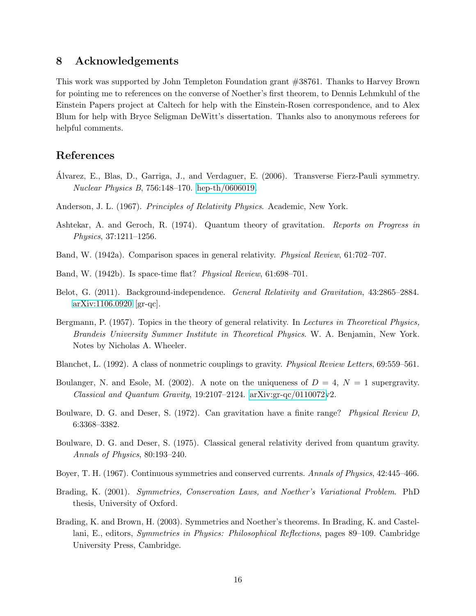### 8 Acknowledgements

This work was supported by John Templeton Foundation grant #38761. Thanks to Harvey Brown for pointing me to references on the converse of Noether's first theorem, to Dennis Lehmkuhl of the Einstein Papers project at Caltech for help with the Einstein-Rosen correspondence, and to Alex Blum for help with Bryce Seligman DeWitt's dissertation. Thanks also to anonymous referees for helpful comments.

## References

- <span id="page-15-8"></span>Alvarez, E., Blas, D., Garriga, J., and Verdaguer, E. (2006). Transverse Fierz-Pauli symmetry. Nuclear Physics B, 756:148–170. [hep-th/0606019.](http://arxiv.org/abs/hep-th/0606019)
- <span id="page-15-2"></span>Anderson, J. L. (1967). Principles of Relativity Physics. Academic, New York.
- <span id="page-15-11"></span>Ashtekar, A. and Geroch, R. (1974). Quantum theory of gravitation. Reports on Progress in Physics, 37:1211–1256.
- <span id="page-15-10"></span>Band, W. (1942a). Comparison spaces in general relativity. Physical Review, 61:702–707.
- <span id="page-15-9"></span>Band, W. (1942b). Is space-time flat? Physical Review, 61:698–701.
- <span id="page-15-1"></span>Belot, G. (2011). Background-independence. General Relativity and Gravitation, 43:2865–2884. [arXiv:1106.0920](http://arxiv.org/abs/1106.0920) [gr-qc].
- <span id="page-15-3"></span>Bergmann, P. (1957). Topics in the theory of general relativity. In Lectures in Theoretical Physics, Brandeis University Summer Institute in Theoretical Physics. W. A. Benjamin, New York. Notes by Nicholas A. Wheeler.
- <span id="page-15-13"></span>Blanchet, L. (1992). A class of nonmetric couplings to gravity. Physical Review Letters, 69:559–561.
- <span id="page-15-7"></span>Boulanger, N. and Esole, M. (2002). A note on the uniqueness of  $D = 4$ ,  $N = 1$  supergravity. Classical and Quantum Gravity, 19:2107–2124. [arXiv:gr-qc/0110072v](http://arxiv.org/abs/gr-qc/0110072)2.
- <span id="page-15-12"></span>Boulware, D. G. and Deser, S. (1972). Can gravitation have a finite range? Physical Review D, 6:3368–3382.
- <span id="page-15-6"></span>Boulware, D. G. and Deser, S. (1975). Classical general relativity derived from quantum gravity. Annals of Physics, 80:193–240.
- <span id="page-15-4"></span>Boyer, T. H. (1967). Continuous symmetries and conserved currents. Annals of Physics, 42:445–466.
- <span id="page-15-5"></span>Brading, K. (2001). Symmetries, Conservation Laws, and Noether's Variational Problem. PhD thesis, University of Oxford.
- <span id="page-15-0"></span>Brading, K. and Brown, H. (2003). Symmetries and Noether's theorems. In Brading, K. and Castellani, E., editors, Symmetries in Physics: Philosophical Reflections, pages 89–109. Cambridge University Press, Cambridge.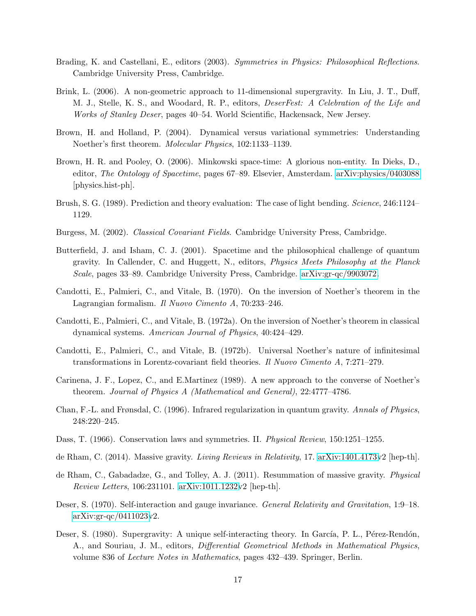- <span id="page-16-2"></span>Brading, K. and Castellani, E., editors (2003). Symmetries in Physics: Philosophical Reflections. Cambridge University Press, Cambridge.
- <span id="page-16-0"></span>Brink, L. (2006). A non-geometric approach to 11-dimensional supergravity. In Liu, J. T., Duff, M. J., Stelle, K. S., and Woodard, R. P., editors, DeserFest: A Celebration of the Life and Works of Stanley Deser, pages 40–54. World Scientific, Hackensack, New Jersey.
- <span id="page-16-8"></span>Brown, H. and Holland, P. (2004). Dynamical versus variational symmetries: Understanding Noether's first theorem. Molecular Physics, 102:1133–1139.
- <span id="page-16-13"></span>Brown, H. R. and Pooley, O. (2006). Minkowski space-time: A glorious non-entity. In Dieks, D., editor, The Ontology of Spacetime, pages 67–89. Elsevier, Amsterdam. [arXiv:physics/0403088](http://arxiv.org/abs/physics/0403088) [physics.hist-ph].
- <span id="page-16-12"></span>Brush, S. G. (1989). Prediction and theory evaluation: The case of light bending. Science, 246:1124– 1129.
- <span id="page-16-14"></span>Burgess, M. (2002). Classical Covariant Fields. Cambridge University Press, Cambridge.
- <span id="page-16-1"></span>Butterfield, J. and Isham, C. J. (2001). Spacetime and the philosophical challenge of quantum gravity. In Callender, C. and Huggett, N., editors, Physics Meets Philosophy at the Planck Scale, pages 33–89. Cambridge University Press, Cambridge. [arXiv:gr-qc/9903072.](http://arxiv.org/abs/gr-qc/9903072)
- <span id="page-16-4"></span>Candotti, E., Palmieri, C., and Vitale, B. (1970). On the inversion of Noether's theorem in the Lagrangian formalism. Il Nuovo Cimento A, 70:233–246.
- <span id="page-16-6"></span>Candotti, E., Palmieri, C., and Vitale, B. (1972a). On the inversion of Noether's theorem in classical dynamical systems. American Journal of Physics, 40:424–429.
- <span id="page-16-5"></span>Candotti, E., Palmieri, C., and Vitale, B. (1972b). Universal Noether's nature of infinitesimal transformations in Lorentz-covariant field theories. Il Nuovo Cimento A, 7:271–279.
- <span id="page-16-7"></span>Carinena, J. F., Lopez, C., and E.Martinez (1989). A new approach to the converse of Noether's theorem. Journal of Physics A (Mathematical and General), 22:4777–4786.
- <span id="page-16-15"></span>Chan, F.-L. and Frønsdal, C. (1996). Infrared regularization in quantum gravity. Annals of Physics, 248:220–245.
- <span id="page-16-3"></span>Dass, T. (1966). Conservation laws and symmetries. II. *Physical Review*, 150:1251–1255.
- <span id="page-16-10"></span>de Rham, C. (2014). Massive gravity. Living Reviews in Relativity, 17. [arXiv:1401.4173v](http://arxiv.org/abs/1401.4173)2 [hep-th].
- <span id="page-16-11"></span>de Rham, C., Gabadadze, G., and Tolley, A. J. (2011). Resummation of massive gravity. Physical Review Letters, 106:231101. [arXiv:1011.1232v](http://arxiv.org/abs/1011.1232)2 [hep-th].
- <span id="page-16-9"></span>Deser, S. (1970). Self-interaction and gauge invariance. *General Relativity and Gravitation*, 1:9–18. [arXiv:gr-qc/0411023v](http://arxiv.org/abs/gr-qc/0411023)2.
- <span id="page-16-16"></span>Deser, S. (1980). Supergravity: A unique self-interacting theory. In García, P. L., Pérez-Rendón, A., and Souriau, J. M., editors, Differential Geometrical Methods in Mathematical Physics, volume 836 of Lecture Notes in Mathematics, pages 432–439. Springer, Berlin.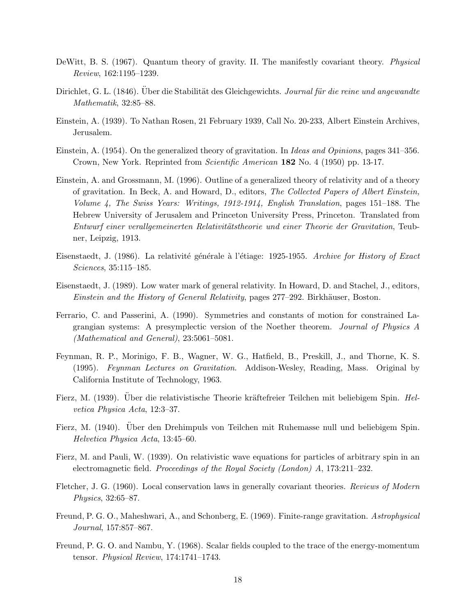- <span id="page-17-14"></span>DeWitt, B. S. (1967). Quantum theory of gravity. II. The manifestly covariant theory. Physical Review, 162:1195–1239.
- <span id="page-17-11"></span>Dirichlet, G. L. (1846). Uber die Stabilität des Gleichgewichts. Journal für die reine und angewandte Mathematik, 32:85–88.
- <span id="page-17-4"></span>Einstein, A. (1939). To Nathan Rosen, 21 February 1939, Call No. 20-233, Albert Einstein Archives, Jerusalem.
- <span id="page-17-6"></span>Einstein, A. (1954). On the generalized theory of gravitation. In Ideas and Opinions, pages 341–356. Crown, New York. Reprinted from Scientific American 182 No. 4 (1950) pp. 13-17.
- <span id="page-17-13"></span>Einstein, A. and Grossmann, M. (1996). Outline of a generalized theory of relativity and of a theory of gravitation. In Beck, A. and Howard, D., editors, The Collected Papers of Albert Einstein, Volume 4, The Swiss Years: Writings, 1912-1914, English Translation, pages 151–188. The Hebrew University of Jerusalem and Princeton University Press, Princeton. Translated from Entwurf einer verallgemeinerten Relativitätstheorie und einer Theorie der Gravitation, Teubner, Leipzig, 1913.
- <span id="page-17-0"></span>Eisenstaedt, J. (1986). La relativité générale à l'étiage: 1925-1955. Archive for History of Exact Sciences, 35:115–185.
- <span id="page-17-1"></span>Eisenstaedt, J. (1989). Low water mark of general relativity. In Howard, D. and Stachel, J., editors, Einstein and the History of General Relativity, pages 277–292. Birkhäuser, Boston.
- <span id="page-17-8"></span>Ferrario, C. and Passerini, A. (1990). Symmetries and constants of motion for constrained Lagrangian systems: A presymplectic version of the Noether theorem. Journal of Physics A (Mathematical and General), 23:5061–5081.
- <span id="page-17-5"></span>Feynman, R. P., Morinigo, F. B., Wagner, W. G., Hatfield, B., Preskill, J., and Thorne, K. S. (1995). Feynman Lectures on Gravitation. Addison-Wesley, Reading, Mass. Original by California Institute of Technology, 1963.
- <span id="page-17-9"></span>Fierz, M. (1939). Uber die relativistische Theorie kräftefreier Teilchen mit beliebigem Spin. Helvetica Physica Acta, 12:3–37.
- <span id="page-17-3"></span>Fierz, M. (1940). Über den Drehimpuls von Teilchen mit Ruhemasse null und beliebigem Spin. Helvetica Physica Acta, 13:45–60.
- <span id="page-17-2"></span>Fierz, M. and Pauli, W. (1939). On relativistic wave equations for particles of arbitrary spin in an electromagnetic field. Proceedings of the Royal Society (London)  $A$ , 173:211–232.
- <span id="page-17-7"></span>Fletcher, J. G. (1960). Local conservation laws in generally covariant theories. Reviews of Modern Physics, 32:65–87.
- <span id="page-17-10"></span>Freund, P. G. O., Maheshwari, A., and Schonberg, E. (1969). Finite-range gravitation. Astrophysical Journal, 157:857–867.
- <span id="page-17-12"></span>Freund, P. G. O. and Nambu, Y. (1968). Scalar fields coupled to the trace of the energy-momentum tensor. Physical Review, 174:1741–1743.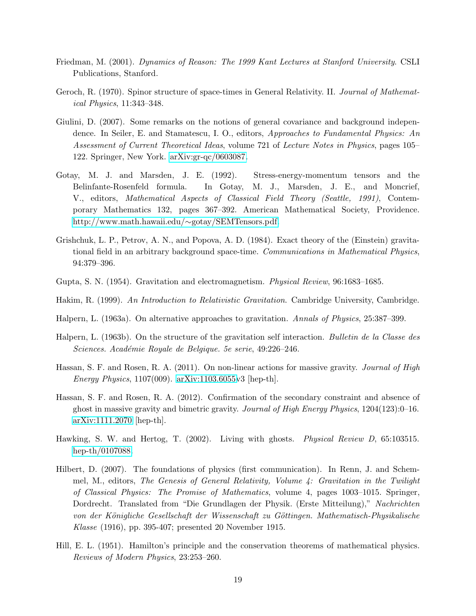- <span id="page-18-8"></span>Friedman, M. (2001). Dynamics of Reason: The 1999 Kant Lectures at Stanford University. CSLI Publications, Stanford.
- <span id="page-18-13"></span>Geroch, R. (1970). Spinor structure of space-times in General Relativity. II. Journal of Mathematical Physics, 11:343–348.
- <span id="page-18-1"></span>Giulini, D. (2007). Some remarks on the notions of general covariance and background independence. In Seiler, E. and Stamatescu, I. O., editors, *Approaches to Fundamental Physics: An* Assessment of Current Theoretical Ideas, volume 721 of Lecture Notes in Physics, pages 105– 122. Springer, New York. [arXiv:gr-qc/0603087.](http://arxiv.org/abs/gr-qc/0603087)
- <span id="page-18-9"></span>Gotay, M. J. and Marsden, J. E. (1992). Stress-energy-momentum tensors and the Belinfante-Rosenfeld formula. In Gotay, M. J., Marsden, J. E., and Moncrief, V., editors, Mathematical Aspects of Classical Field Theory (Seattle, 1991), Contemporary Mathematics 132, pages 367–392. American Mathematical Society, Providence. [http://www.math.hawaii.edu/](http://www.math.hawaii.edu/~gotay/SEMTensors.pdf)∼gotay/SEMTensors.pdf.
- <span id="page-18-7"></span>Grishchuk, L. P., Petrov, A. N., and Popova, A. D. (1984). Exact theory of the (Einstein) gravitational field in an arbitrary background space-time. Communications in Mathematical Physics, 94:379–396.
- <span id="page-18-3"></span>Gupta, S. N. (1954). Gravitation and electromagnetism. Physical Review, 96:1683–1685.
- <span id="page-18-10"></span>Hakim, R. (1999). An Introduction to Relativistic Gravitation. Cambridge University, Cambridge.
- <span id="page-18-5"></span>Halpern, L. (1963a). On alternative approaches to gravitation. Annals of Physics, 25:387–399.
- <span id="page-18-4"></span>Halpern, L. (1963b). On the structure of the gravitation self interaction. Bulletin de la Classe des Sciences. Académie Royale de Belgique. 5e serie, 49:226–246.
- <span id="page-18-6"></span>Hassan, S. F. and Rosen, R. A. (2011). On non-linear actions for massive gravity. *Journal of High* Energy Physics, 1107(009). [arXiv:1103.6055v](http://arxiv.org/abs/1103.6055)3 [hep-th].
- <span id="page-18-11"></span>Hassan, S. F. and Rosen, R. A. (2012). Confirmation of the secondary constraint and absence of ghost in massive gravity and bimetric gravity. Journal of High Energy Physics,  $1204(123):0-16$ . [arXiv:1111.2070](http://arxiv.org/abs/1111.2070) [hep-th].
- <span id="page-18-12"></span>Hawking, S. W. and Hertog, T. (2002). Living with ghosts. Physical Review D, 65:103515. [hep-th/0107088.](http://arxiv.org/abs/hep-th/0107088)
- <span id="page-18-0"></span>Hilbert, D. (2007). The foundations of physics (first communication). In Renn, J. and Schemmel, M., editors, The Genesis of General Relativity, Volume 4: Gravitation in the Twilight of Classical Physics: The Promise of Mathematics, volume 4, pages 1003–1015. Springer, Dordrecht. Translated from "Die Grundlagen der Physik. (Erste Mitteilung)," Nachrichten von der Königliche Gesellschaft der Wissenschaft zu Göttingen. Mathematisch-Physikalische Klasse (1916), pp. 395-407; presented 20 November 1915.
- <span id="page-18-2"></span>Hill, E. L. (1951). Hamilton's principle and the conservation theorems of mathematical physics. Reviews of Modern Physics, 23:253–260.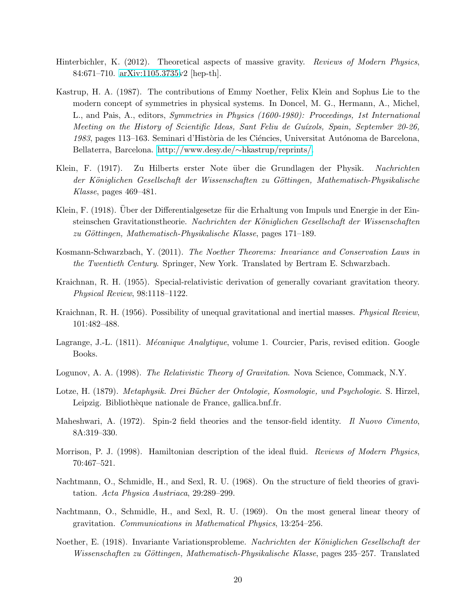- <span id="page-19-8"></span>Hinterbichler, K. (2012). Theoretical aspects of massive gravity. Reviews of Modern Physics, 84:671–710. [arXiv:1105.3735v](http://arxiv.org/abs/1105.3735)2 [hep-th].
- <span id="page-19-4"></span>Kastrup, H. A. (1987). The contributions of Emmy Noether, Felix Klein and Sophus Lie to the modern concept of symmetries in physical systems. In Doncel, M. G., Hermann, A., Michel, L., and Pais, A., editors, Symmetries in Physics (1600-1980): Proceedings, 1st International Meeting on the History of Scientific Ideas, Sant Feliu de Guíxols, Spain, September 20-26, 1983, pages 113–163. Seminari d'Història de les Ciéncies, Universitat Autónoma de Barcelona, Bellaterra, Barcelona. [http://www.desy.de/](http://www.desy.de/~hkastrup/reprints/)∼hkastrup/reprints/.
- <span id="page-19-0"></span>Klein, F. (1917). Zu Hilberts erster Note über die Grundlagen der Physik. Nachrichten der Königlichen Gesellschaft der Wissenschaften zu Göttingen, Mathematisch-Physikalische Klasse, pages 469–481.
- <span id="page-19-1"></span>Klein, F. (1918). Über der Differentialgesetze für die Erhaltung von Impuls und Energie in der Einsteinschen Gravitationstheorie. Nachrichten der Königlichen Gesellschaft der Wissenschaften  $zu$  Göttingen, Mathematisch-Physikalische Klasse, pages 171–189.
- <span id="page-19-3"></span>Kosmann-Schwarzbach, Y. (2011). The Noether Theorems: Invariance and Conservation Laws in the Twentieth Century. Springer, New York. Translated by Bertram E. Schwarzbach.
- <span id="page-19-5"></span>Kraichnan, R. H. (1955). Special-relativistic derivation of generally covariant gravitation theory. Physical Review, 98:1118–1122.
- <span id="page-19-14"></span>Kraichnan, R. H. (1956). Possibility of unequal gravitational and inertial masses. Physical Review, 101:482–488.
- <span id="page-19-10"></span>Lagrange, J.-L. (1811). *Mécanique Analytique*, volume 1. Courcier, Paris, revised edition. Google Books.
- <span id="page-19-13"></span>Logunov, A. A. (1998). The Relativistic Theory of Gravitation. Nova Science, Commack, N.Y.
- <span id="page-19-12"></span>Lotze, H. (1879). Metaphysik. Drei Bücher der Ontologie, Kosmologie, und Psychologie. S. Hirzel, Leipzig. Bibliothèque nationale de France, gallica.bnf.fr.
- <span id="page-19-9"></span>Maheshwari, A. (1972). Spin-2 field theories and the tensor-field identity. Il Nuovo Cimento, 8A:319–330.
- <span id="page-19-11"></span>Morrison, P. J. (1998). Hamiltonian description of the ideal fluid. *Reviews of Modern Physics*, 70:467–521.
- <span id="page-19-6"></span>Nachtmann, O., Schmidle, H., and Sexl, R. U. (1968). On the structure of field theories of gravitation. Acta Physica Austriaca, 29:289–299.
- <span id="page-19-7"></span>Nachtmann, O., Schmidle, H., and Sexl, R. U. (1969). On the most general linear theory of gravitation. Communications in Mathematical Physics, 13:254–256.
- <span id="page-19-2"></span>Noether, E. (1918). Invariante Variationsprobleme. Nachrichten der Königlichen Gesellschaft der Wissenschaften zu Göttingen, Mathematisch-Physikalische Klasse, pages 235–257. Translated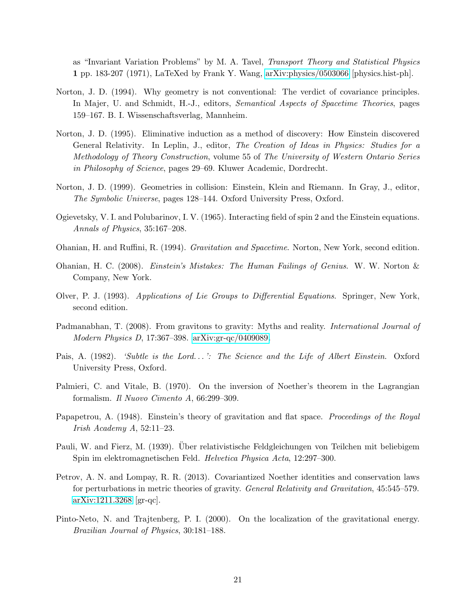as "Invariant Variation Problems" by M. A. Tavel, Transport Theory and Statistical Physics 1 pp. 183-207 (1971), LaTeXed by Frank Y. Wang, [arXiv:physics/0503066](http://arxiv.org/abs/physics/0503066) [physics.hist-ph].

- <span id="page-20-10"></span>Norton, J. D. (1994). Why geometry is not conventional: The verdict of covariance principles. In Majer, U. and Schmidt, H.-J., editors, *Semantical Aspects of Spacetime Theories*, pages 159–167. B. I. Wissenschaftsverlag, Mannheim.
- <span id="page-20-13"></span>Norton, J. D. (1995). Eliminative induction as a method of discovery: How Einstein discovered General Relativity. In Leplin, J., editor, The Creation of Ideas in Physics: Studies for a Methodology of Theory Construction, volume 55 of The University of Western Ontario Series in Philosophy of Science, pages 29–69. Kluwer Academic, Dordrecht.
- <span id="page-20-6"></span>Norton, J. D. (1999). Geometries in collision: Einstein, Klein and Riemann. In Gray, J., editor, The Symbolic Universe, pages 128–144. Oxford University Press, Oxford.
- <span id="page-20-8"></span>Ogievetsky, V. I. and Polubarinov, I. V. (1965). Interacting field of spin 2 and the Einstein equations. Annals of Physics, 35:167–208.
- <span id="page-20-12"></span>Ohanian, H. and Ruffini, R. (1994). Gravitation and Spacetime. Norton, New York, second edition.
- <span id="page-20-9"></span>Ohanian, H. C. (2008). Einstein's Mistakes: The Human Failings of Genius. W. W. Norton & Company, New York.
- <span id="page-20-1"></span>Olver, P. J. (1993). Applications of Lie Groups to Differential Equations. Springer, New York, second edition.
- <span id="page-20-3"></span>Padmanabhan, T. (2008). From gravitons to gravity: Myths and reality. *International Journal of* Modern Physics D, 17:367–398. [arXiv:gr-qc/0409089.](http://arxiv.org/abs/gr-qc/0409089)
- <span id="page-20-0"></span>Pais, A. (1982). 'Subtle is the Lord...': The Science and the Life of Albert Einstein. Oxford University Press, Oxford.
- <span id="page-20-5"></span>Palmieri, C. and Vitale, B. (1970). On the inversion of Noether's theorem in the Lagrangian formalism. Il Nuovo Cimento A, 66:299–309.
- <span id="page-20-7"></span>Papapetrou, A. (1948). Einstein's theory of gravitation and flat space. Proceedings of the Royal Irish Academy A, 52:11–23.
- <span id="page-20-2"></span>Pauli, W. and Fierz, M. (1939). Über relativistische Feldgleichungen von Teilchen mit beliebigem Spin im elektromagnetischen Feld. Helvetica Physica Acta, 12:297–300.
- <span id="page-20-4"></span>Petrov, A. N. and Lompay, R. R. (2013). Covariantized Noether identities and conservation laws for perturbations in metric theories of gravity. General Relativity and Gravitation, 45:545–579. [arXiv:1211.3268](http://arxiv.org/abs/1211.3268) [gr-qc].
- <span id="page-20-11"></span>Pinto-Neto, N. and Trajtenberg, P. I. (2000). On the localization of the gravitational energy. Brazilian Journal of Physics, 30:181–188.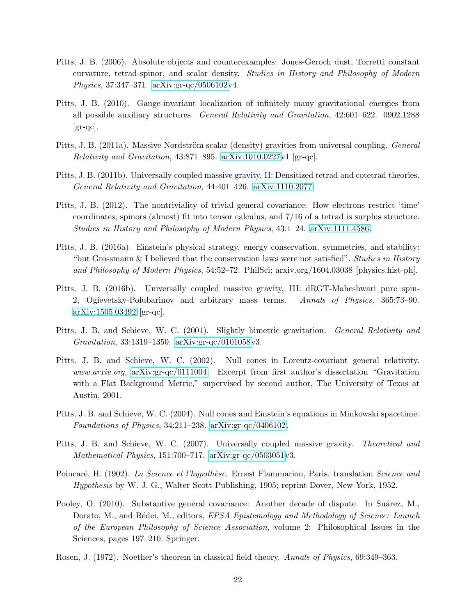- <span id="page-21-3"></span>Pitts, J. B. (2006). Absolute objects and counterexamples: Jones-Geroch dust, Torretti constant curvature, tetrad-spinor, and scalar density. Studies in History and Philosophy of Modern Physics, 37:347–371. [arXiv:gr-qc/0506102v](http://arxiv.org/abs/gr-qc/0506102)4.
- <span id="page-21-0"></span>Pitts, J. B. (2010). Gauge-invariant localization of infinitely many gravitational energies from all possible auxiliary structures. General Relativity and Gravitation, 42:601–622. 0902.1288  $\left[\text{gr-qc}\right]$ .
- <span id="page-21-11"></span>Pitts, J. B. (2011a). Massive Nordström scalar (density) gravities from universal coupling. General Relativity and Gravitation,  $43:871-895$ . [arXiv:1010.0227v](http://arxiv.org/abs/1010.0227)1 [gr-qc].
- <span id="page-21-9"></span>Pitts, J. B. (2011b). Universally coupled massive gravity, II: Densitized tetrad and cotetrad theories. General Relativity and Gravitation, 44:401–426. [arXiv:1110.2077.](http://arxiv.org/abs/1110.2077)
- <span id="page-21-13"></span>Pitts, J. B. (2012). The nontriviality of trivial general covariance: How electrons restrict 'time' coordinates, spinors (almost) fit into tensor calculus, and 7/16 of a tetrad is surplus structure. Studies in History and Philosophy of Modern Physics, 43:1–24. [arXiv:1111.4586.](http://arxiv.org/abs/1111.4586)
- <span id="page-21-5"></span>Pitts, J. B. (2016a). Einstein's physical strategy, energy conservation, symmetries, and stability: "but Grossmann & I believed that the conservation laws were not satisfied". Studies in History and Philosophy of Modern Physics, 54:52–72. PhilSci; arxiv.org/1604.03038 [physics.hist-ph].
- <span id="page-21-10"></span>Pitts, J. B. (2016b). Universally coupled massive gravity, III: dRGT-Maheshwari pure spin-2, Ogievetsky-Polubarinov and arbitrary mass terms. Annals of Physics, 365:73–90. [arXiv:1505.03492](http://arxiv.org/abs/1505.03492) [gr-qc].
- <span id="page-21-7"></span>Pitts, J. B. and Schieve, W. C. (2001). Slightly bimetric gravitation. *General Relativity and* Gravitation, 33:1319–1350. [arXiv:gr-qc/0101058v](http://arxiv.org/abs/gr-qc/0101058)3.
- <span id="page-21-1"></span>Pitts, J. B. and Schieve, W. C. (2002). Null cones in Lorentz-covariant general relativity. www.arxiv.org, [arXiv:gr-qc/0111004.](http://arxiv.org/abs/gr-qc/0111004) Excerpt from first author's dissertation "Gravitation" with a Flat Background Metric," supervised by second author, The University of Texas at Austin, 2001.
- <span id="page-21-2"></span>Pitts, J. B. and Schieve, W. C. (2004). Null cones and Einstein's equations in Minkowski spacetime. Foundations of Physics, 34:211–238. [arXiv:gr-qc/0406102.](http://arxiv.org/abs/gr-qc/0406102)
- <span id="page-21-8"></span>Pitts, J. B. and Schieve, W. C. (2007). Universally coupled massive gravity. Theoretical and Mathematical Physics, 151:700–717. [arXiv:gr-qc/0503051v](http://arxiv.org/abs/gr-qc/0503051)3.
- <span id="page-21-12"></span>Poincaré, H. (1902). La Science et l'hypothèse. Ernest Flammarion, Paris. translation Science and Hypothesis by W. J. G., Walter Scott Publishing, 1905; reprint Dover, New York, 1952.
- <span id="page-21-4"></span>Pooley, O. (2010). Substantive general covariance: Another decade of dispute. In Suárez, M., Dorato, M., and Rédei, M., editors, *EPSA Epistemology and Methodology of Science: Launch* of the European Philosophy of Science Association, volume 2: Philosophical Issues in the Sciences, pages 197–210. Springer.
- <span id="page-21-6"></span>Rosen, J. (1972). Noether's theorem in classical field theory. Annals of Physics, 69:349–363.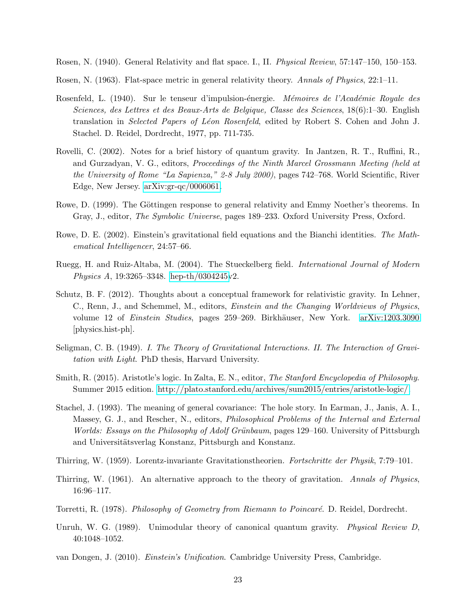<span id="page-22-5"></span>Rosen, N. (1940). General Relativity and flat space. I., II. Physical Review, 57:147–150, 150–153.

- <span id="page-22-11"></span>Rosen, N. (1963). Flat-space metric in general relativity theory. Annals of Physics, 22:1–11.
- <span id="page-22-14"></span>Rosenfeld, L. (1940). Sur le tenseur d'impulsion-énergie. *Mémoires de l'Académie Royale des* Sciences, des Lettres et des Beaux-Arts de Belgique, Classe des Sciences, 18(6):1–30. English translation in Selected Papers of Léon Rosenfeld, edited by Robert S. Cohen and John J. Stachel. D. Reidel, Dordrecht, 1977, pp. 711-735.
- <span id="page-22-0"></span>Rovelli, C. (2002). Notes for a brief history of quantum gravity. In Jantzen, R. T., Ruffini, R., and Gurzadyan, V. G., editors, Proceedings of the Ninth Marcel Grossmann Meeting (held at the University of Rome "La Sapienza," 2-8 July 2000), pages 742-768. World Scientific, River Edge, New Jersey. [arXiv:gr-qc/0006061.](http://arxiv.org/abs/gr-qc/0006061)
- <span id="page-22-1"></span>Rowe, D. (1999). The Göttingen response to general relativity and Emmy Noether's theorems. In Gray, J., editor, *The Symbolic Universe*, pages 189–233. Oxford University Press, Oxford.
- <span id="page-22-2"></span>Rowe, D. E. (2002). Einstein's gravitational field equations and the Bianchi identities. The Mathematical Intelligencer, 24:57–66.
- <span id="page-22-13"></span>Ruegg, H. and Ruiz-Altaba, M. (2004). The Stueckelberg field. International Journal of Modern Physics A, 19:3265–3348. [hep-th/0304245v](http://arxiv.org/abs/hep-th/0304245)2.
- <span id="page-22-4"></span>Schutz, B. F. (2012). Thoughts about a conceptual framework for relativistic gravity. In Lehner, C., Renn, J., and Schemmel, M., editors, Einstein and the Changing Worldviews of Physics, volume 12 of *Einstein Studies*, pages 259–269. Birkhäuser, New York. [arXiv:1203.3090](http://arxiv.org/abs/1203.3090) [physics.hist-ph].
- <span id="page-22-6"></span>Seligman, C. B. (1949). I. The Theory of Gravitational Interactions. II. The Interaction of Gravitation with Light. PhD thesis, Harvard University.
- <span id="page-22-9"></span>Smith, R. (2015). Aristotle's logic. In Zalta, E. N., editor, The Stanford Encyclopedia of Philosophy. Summer 2015 edition. [http://plato.stanford.edu/archives/sum2015/entries/aristotle-logic/.](http://plato.stanford.edu/archives/sum2015/entries/aristotle-logic/)
- <span id="page-22-7"></span>Stachel, J. (1993). The meaning of general covariance: The hole story. In Earman, J., Janis, A. I., Massey, G. J., and Rescher, N., editors, *Philosophical Problems of the Internal and External* Worlds: Essays on the Philosophy of Adolf Grünbaum, pages 129–160. University of Pittsburgh and Universitätsverlag Konstanz, Pittsburgh and Konstanz.
- <span id="page-22-15"></span>Thirring, W. (1959). Lorentz-invariante Gravitationstheorien. Fortschritte der Physik, 7:79–101.
- <span id="page-22-8"></span>Thirring, W. (1961). An alternative approach to the theory of gravitation. Annals of Physics, 16:96–117.
- <span id="page-22-12"></span>Torretti, R. (1978). Philosophy of Geometry from Riemann to Poincaré. D. Reidel, Dordrecht.
- <span id="page-22-10"></span>Unruh, W. G. (1989). Unimodular theory of canonical quantum gravity. *Physical Review D*, 40:1048–1052.
- <span id="page-22-3"></span>van Dongen, J. (2010). Einstein's Unification. Cambridge University Press, Cambridge.